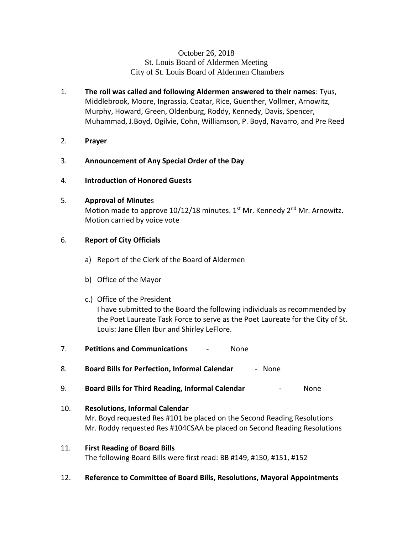## October 26, 2018 St. Louis Board of Aldermen Meeting City of St. Louis Board of Aldermen Chambers

- 1. **The roll was called and following Aldermen answered to their names**: Tyus, Middlebrook, Moore, Ingrassia, Coatar, Rice, Guenther, Vollmer, Arnowitz, Murphy, Howard, Green, Oldenburg, Roddy, Kennedy, Davis, Spencer, Muhammad, J.Boyd, Ogilvie, Cohn, Williamson, P. Boyd, Navarro, and Pre Reed
- 2. **Prayer**
- 3. **Announcement of Any Special Order of the Day**
- 4. **Introduction of Honored Guests**

## 5. **Approval of Minute**s

Motion made to approve  $10/12/18$  minutes. 1<sup>st</sup> Mr. Kennedy 2<sup>nd</sup> Mr. Arnowitz. Motion carried by voice vote

## 6. **Report of City Officials**

- a) Report of the Clerk of the Board of Aldermen
- b) Office of the Mayor
- c.) Office of the President I have submitted to the Board the following individuals as recommended by the Poet Laureate Task Force to serve as the Poet Laureate for the City of St. Louis: Jane Ellen Ibur and Shirley LeFlore.
- 7. **Petitions and Communications** None
- 8. **Board Bills for Perfection, Informal Calendar** None
- 9. **Board Bills for Third Reading, Informal Calendar** None
- 10. **Resolutions, Informal Calendar** Mr. Boyd requested Res #101 be placed on the Second Reading Resolutions Mr. Roddy requested Res #104CSAA be placed on Second Reading Resolutions
- 11. **First Reading of Board Bills** The following Board Bills were first read: BB #149, #150, #151, #152
- 12. **Reference to Committee of Board Bills, Resolutions, Mayoral Appointments**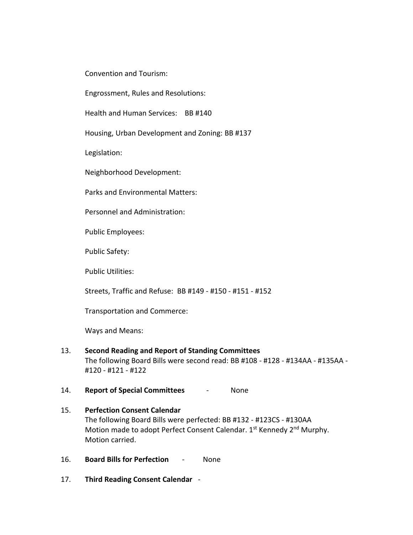Convention and Tourism:

Engrossment, Rules and Resolutions:

Health and Human Services: BB #140

Housing, Urban Development and Zoning: BB #137

Legislation:

Neighborhood Development:

Parks and Environmental Matters:

Personnel and Administration:

Public Employees:

Public Safety:

Public Utilities:

Streets, Traffic and Refuse: BB #149 - #150 - #151 - #152

Transportation and Commerce:

Ways and Means:

### 13. **Second Reading and Report of Standing Committees** The following Board Bills were second read: BB #108 - #128 - #134AA - #135AA - #120 - #121 - #122

- 14. **Report of Special Committees** None
- 15. **Perfection Consent Calendar** The following Board Bills were perfected: BB #132 - #123CS - #130AA Motion made to adopt Perfect Consent Calendar. 1st Kennedy 2<sup>nd</sup> Murphy. Motion carried.
- 16. **Board Bills for Perfection** None
- 17. **Third Reading Consent Calendar** -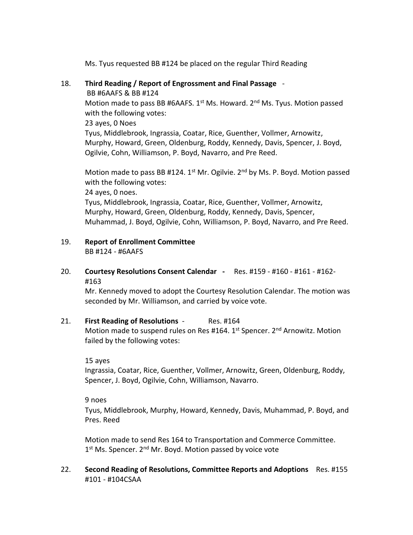Ms. Tyus requested BB #124 be placed on the regular Third Reading

18. **Third Reading / Report of Engrossment and Final Passage** -

BB #6AAFS & BB #124

Motion made to pass BB #6AAFS.  $1<sup>st</sup>$  Ms. Howard.  $2<sup>nd</sup>$  Ms. Tyus. Motion passed with the following votes:

23 ayes, 0 Noes

Tyus, Middlebrook, Ingrassia, Coatar, Rice, Guenther, Vollmer, Arnowitz, Murphy, Howard, Green, Oldenburg, Roddy, Kennedy, Davis, Spencer, J. Boyd, Ogilvie, Cohn, Williamson, P. Boyd, Navarro, and Pre Reed.

Motion made to pass BB #124.  $1^{st}$  Mr. Ogilvie.  $2^{nd}$  by Ms. P. Boyd. Motion passed with the following votes:

24 ayes, 0 noes.

Tyus, Middlebrook, Ingrassia, Coatar, Rice, Guenther, Vollmer, Arnowitz, Murphy, Howard, Green, Oldenburg, Roddy, Kennedy, Davis, Spencer, Muhammad, J. Boyd, Ogilvie, Cohn, Williamson, P. Boyd, Navarro, and Pre Reed.

#### 19. **Report of Enrollment Committee** BB #124 - #6AAFS

20. **Courtesy Resolutions Consent Calendar -** Res. #159 - #160 - #161 - #162- #163

Mr. Kennedy moved to adopt the Courtesy Resolution Calendar. The motion was seconded by Mr. Williamson, and carried by voice vote.

# 21. **First Reading of Resolutions** - Res. #164

Motion made to suspend rules on Res #164. 1<sup>st</sup> Spencer. 2<sup>nd</sup> Arnowitz. Motion failed by the following votes:

15 ayes

Ingrassia, Coatar, Rice, Guenther, Vollmer, Arnowitz, Green, Oldenburg, Roddy, Spencer, J. Boyd, Ogilvie, Cohn, Williamson, Navarro.

9 noes

Tyus, Middlebrook, Murphy, Howard, Kennedy, Davis, Muhammad, P. Boyd, and Pres. Reed

Motion made to send Res 164 to Transportation and Commerce Committee. 1<sup>st</sup> Ms. Spencer. 2<sup>nd</sup> Mr. Boyd. Motion passed by voice vote

22. **Second Reading of Resolutions, Committee Reports and Adoptions** Res. #155 #101 - #104CSAA